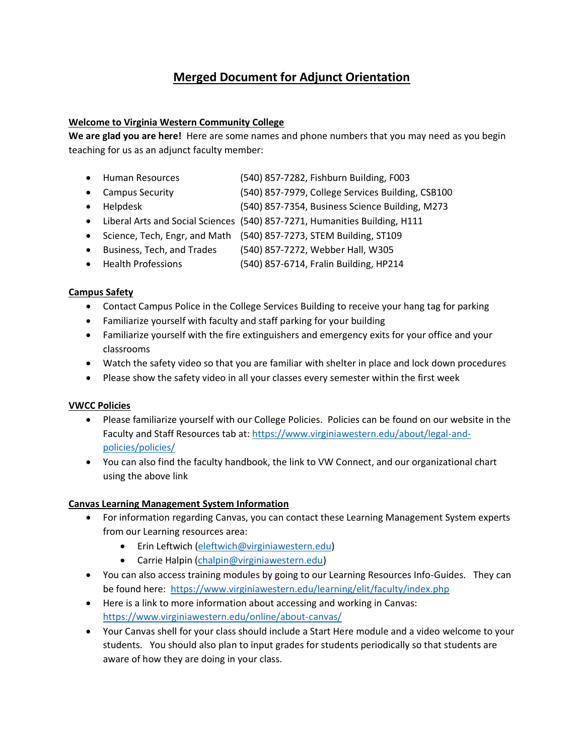# **Merged Document for Adjunct Orientation**

## **Welcome to Virginia Western Community College**

**We are glad you are here!** Here are some names and phone numbers that you may need as you begin teaching for us as an adjunct faculty member:

- Human Resources (540) 857-7282, Fishburn Building, F003
- Campus Security (540) 857-7979, College Services Building, CSB100
- Helpdesk (540) 857-7354, Business Science Building, M273
- Liberal Arts and Social Sciences (540) 857-7271, Humanities Building, H111
- Science, Tech, Engr, and Math (540) 857-7273, STEM Building, ST109
- Business, Tech, and Trades (540) 857-7272, Webber Hall, W305
- Health Professions (540) 857-6714, Fralin Building, HP214

## **Campus Safety**

- Contact Campus Police in the College Services Building to receive your hang tag for parking
- Familiarize yourself with faculty and staff parking for your building
- Familiarize yourself with the fire extinguishers and emergency exits for your office and your classrooms
- Watch the safety video so that you are familiar with shelter in place and lock down procedures
- Please show the safety video in all your classes every semester within the first week

#### **VWCC Policies**

- Please familiarize yourself with our College Policies. Policies can be found on our website in the Faculty and Staff Resources tab at[: https://www.virginiawestern.edu/about/legal-and](https://www.virginiawestern.edu/about/legal-and-policies/policies/)[policies/policies/](https://www.virginiawestern.edu/about/legal-and-policies/policies/)
- You can also find the faculty handbook, the link to VW Connect, and our organizational chart using the above link

# **Canvas Learning Management System Information**

- For information regarding Canvas, you can contact these Learning Management System experts from our Learning resources area:
	- Erin Leftwich [\(eleftwich@virginiawestern.edu\)](mailto:eleftwich@virginiawestern.edu)
	- Carrie Halpin [\(chalpin@virginiawestern.edu\)](mailto:chalpin@virginiawestern.edu)
- You can also access training modules by going to our Learning Resources Info-Guides. They can be found here: <https://www.virginiawestern.edu/learning/elit/faculty/index.php>
- Here is a link to more information about accessing and working in Canvas: <https://www.virginiawestern.edu/online/about-canvas/>
- Your Canvas shell for your class should include a Start Here module and a video welcome to your students. You should also plan to input grades for students periodically so that students are aware of how they are doing in your class.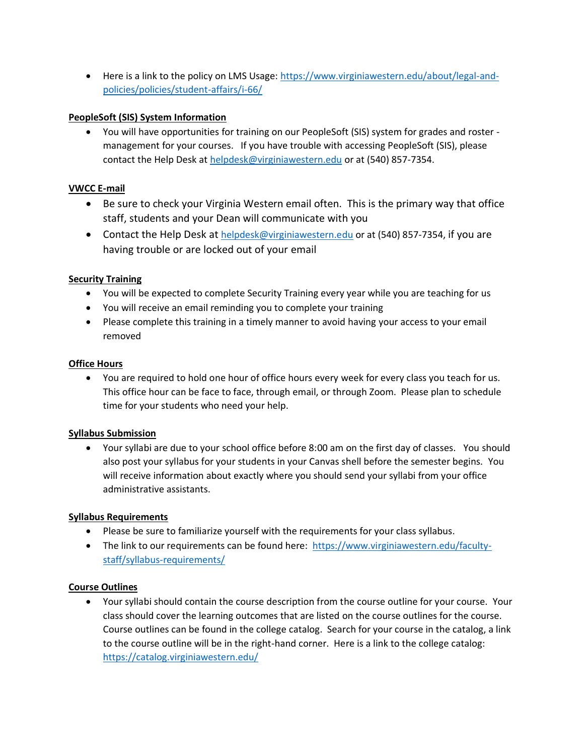• Here is a link to the policy on LMS Usage: [https://www.virginiawestern.edu/about/legal-and](https://www.virginiawestern.edu/about/legal-and-policies/policies/student-affairs/i-66/)[policies/policies/student-affairs/i-66/](https://www.virginiawestern.edu/about/legal-and-policies/policies/student-affairs/i-66/)

## **PeopleSoft (SIS) System Information**

• You will have opportunities for training on our PeopleSoft (SIS) system for grades and roster management for your courses. If you have trouble with accessing PeopleSoft (SIS), please contact the Help Desk at [helpdesk@virginiawestern.edu](mailto:helpdesk@virginiawestern.edu) or at (540) 857-7354.

## **VWCC E-mail**

- Be sure to check your Virginia Western email often. This is the primary way that office staff, students and your Dean will communicate with you
- Contact the Help Desk at [helpdesk@virginiawestern.edu](mailto:helpdesk@virginiawestern.edu) or at (540) 857-7354, if you are having trouble or are locked out of your email

## **Security Training**

- You will be expected to complete Security Training every year while you are teaching for us
- You will receive an email reminding you to complete your training
- Please complete this training in a timely manner to avoid having your access to your email removed

#### **Office Hours**

• You are required to hold one hour of office hours every week for every class you teach for us. This office hour can be face to face, through email, or through Zoom. Please plan to schedule time for your students who need your help.

# **Syllabus Submission**

• Your syllabi are due to your school office before 8:00 am on the first day of classes. You should also post your syllabus for your students in your Canvas shell before the semester begins. You will receive information about exactly where you should send your syllabi from your office administrative assistants.

# **Syllabus Requirements**

- Please be sure to familiarize yourself with the requirements for your class syllabus.
- The link to our requirements can be found here: [https://www.virginiawestern.edu/faculty](https://www.virginiawestern.edu/faculty-staff/syllabus-requirements/)[staff/syllabus-requirements/](https://www.virginiawestern.edu/faculty-staff/syllabus-requirements/)

#### **Course Outlines**

• Your syllabi should contain the course description from the course outline for your course. Your class should cover the learning outcomes that are listed on the course outlines for the course. Course outlines can be found in the college catalog. Search for your course in the catalog, a link to the course outline will be in the right-hand corner. Here is a link to the college catalog: <https://catalog.virginiawestern.edu/>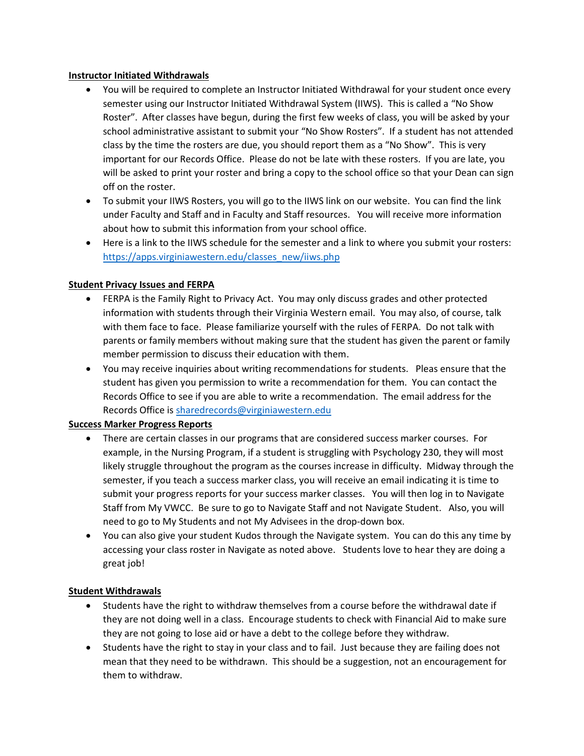#### **Instructor Initiated Withdrawals**

- You will be required to complete an Instructor Initiated Withdrawal for your student once every semester using our Instructor Initiated Withdrawal System (IIWS). This is called a "No Show Roster". After classes have begun, during the first few weeks of class, you will be asked by your school administrative assistant to submit your "No Show Rosters". If a student has not attended class by the time the rosters are due, you should report them as a "No Show". This is very important for our Records Office. Please do not be late with these rosters. If you are late, you will be asked to print your roster and bring a copy to the school office so that your Dean can sign off on the roster.
- To submit your IIWS Rosters, you will go to the IIWS link on our website. You can find the link under Faculty and Staff and in Faculty and Staff resources. You will receive more information about how to submit this information from your school office.
- Here is a link to the IIWS schedule for the semester and a link to where you submit your rosters: [https://apps.virginiawestern.edu/classes\\_new/iiws.php](https://apps.virginiawestern.edu/classes_new/iiws.php)

#### **Student Privacy Issues and FERPA**

- FERPA is the Family Right to Privacy Act. You may only discuss grades and other protected information with students through their Virginia Western email. You may also, of course, talk with them face to face. Please familiarize yourself with the rules of FERPA. Do not talk with parents or family members without making sure that the student has given the parent or family member permission to discuss their education with them.
- You may receive inquiries about writing recommendations for students. Pleas ensure that the student has given you permission to write a recommendation for them. You can contact the Records Office to see if you are able to write a recommendation. The email address for the Records Office i[s sharedrecords@virginiawestern.edu](mailto:sharedrecords@virginiawestern.edu)

#### **Success Marker Progress Reports**

- There are certain classes in our programs that are considered success marker courses. For example, in the Nursing Program, if a student is struggling with Psychology 230, they will most likely struggle throughout the program as the courses increase in difficulty. Midway through the semester, if you teach a success marker class, you will receive an email indicating it is time to submit your progress reports for your success marker classes. You will then log in to Navigate Staff from My VWCC. Be sure to go to Navigate Staff and not Navigate Student. Also, you will need to go to My Students and not My Advisees in the drop-down box.
- You can also give your student Kudos through the Navigate system. You can do this any time by accessing your class roster in Navigate as noted above. Students love to hear they are doing a great job!

#### **Student Withdrawals**

- Students have the right to withdraw themselves from a course before the withdrawal date if they are not doing well in a class. Encourage students to check with Financial Aid to make sure they are not going to lose aid or have a debt to the college before they withdraw.
- Students have the right to stay in your class and to fail. Just because they are failing does not mean that they need to be withdrawn. This should be a suggestion, not an encouragement for them to withdraw.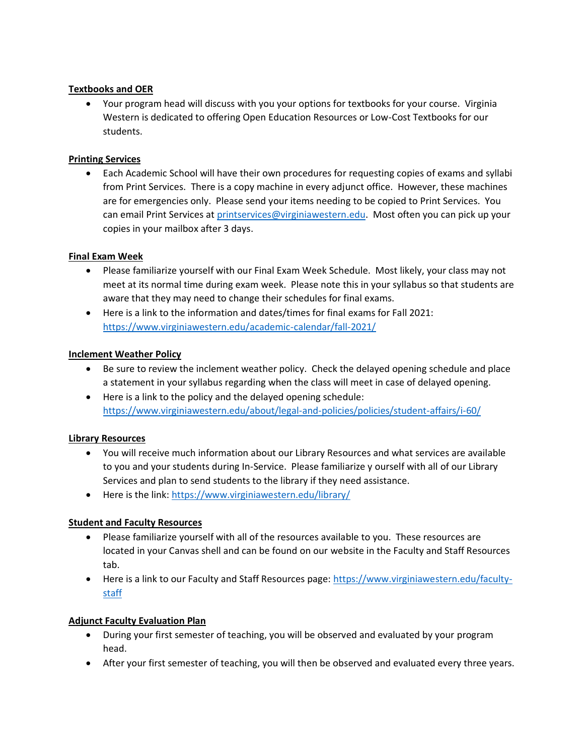## **Textbooks and OER**

• Your program head will discuss with you your options for textbooks for your course. Virginia Western is dedicated to offering Open Education Resources or Low-Cost Textbooks for our students.

#### **Printing Services**

• Each Academic School will have their own procedures for requesting copies of exams and syllabi from Print Services. There is a copy machine in every adjunct office. However, these machines are for emergencies only. Please send your items needing to be copied to Print Services. You can email Print Services at [printservices@virginiawestern.edu.](mailto:printservices@virginiawestern.edu) Most often you can pick up your copies in your mailbox after 3 days.

## **Final Exam Week**

- Please familiarize yourself with our Final Exam Week Schedule. Most likely, your class may not meet at its normal time during exam week. Please note this in your syllabus so that students are aware that they may need to change their schedules for final exams.
- Here is a link to the information and dates/times for final exams for Fall 2021: <https://www.virginiawestern.edu/academic-calendar/fall-2021/>

## **Inclement Weather Policy**

- Be sure to review the inclement weather policy. Check the delayed opening schedule and place a statement in your syllabus regarding when the class will meet in case of delayed opening.
- Here is a link to the policy and the delayed opening schedule: <https://www.virginiawestern.edu/about/legal-and-policies/policies/student-affairs/i-60/>

# **Library Resources**

- You will receive much information about our Library Resources and what services are available to you and your students during In-Service. Please familiarize y ourself with all of our Library Services and plan to send students to the library if they need assistance.
- Here is the link:<https://www.virginiawestern.edu/library/>

#### **Student and Faculty Resources**

- Please familiarize yourself with all of the resources available to you. These resources are located in your Canvas shell and can be found on our website in the Faculty and Staff Resources tab.
- Here is a link to our Faculty and Staff Resources page: [https://www.virginiawestern.edu/faculty](https://www.virginiawestern.edu/faculty-staff)[staff](https://www.virginiawestern.edu/faculty-staff)

#### **Adjunct Faculty Evaluation Plan**

- During your first semester of teaching, you will be observed and evaluated by your program head.
- After your first semester of teaching, you will then be observed and evaluated every three years.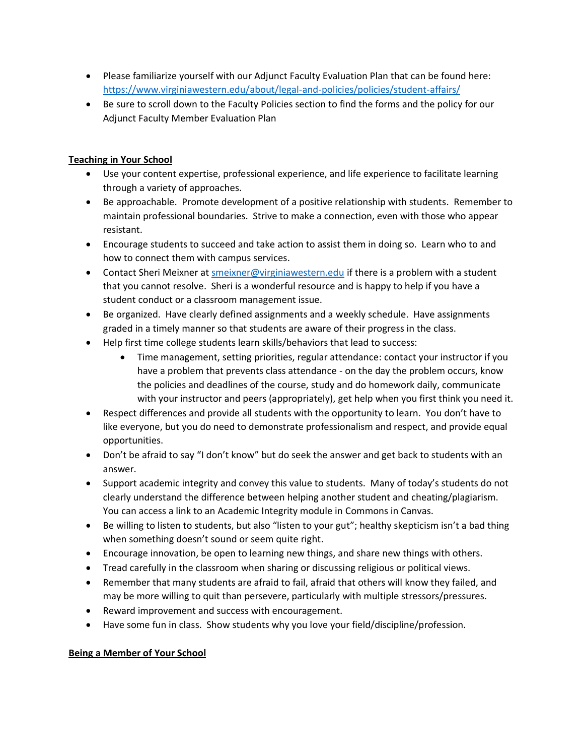- Please familiarize yourself with our Adjunct Faculty Evaluation Plan that can be found here: <https://www.virginiawestern.edu/about/legal-and-policies/policies/student-affairs/>
- Be sure to scroll down to the Faculty Policies section to find the forms and the policy for our Adjunct Faculty Member Evaluation Plan

# **Teaching in Your School**

- Use your content expertise, professional experience, and life experience to facilitate learning through a variety of approaches.
- Be approachable. Promote development of a positive relationship with students. Remember to maintain professional boundaries. Strive to make a connection, even with those who appear resistant.
- Encourage students to succeed and take action to assist them in doing so. Learn who to and how to connect them with campus services.
- Contact Sheri Meixner a[t smeixner@virginiawestern.edu](mailto:smeixner@virginiawestern.edu) if there is a problem with a student that you cannot resolve. Sheri is a wonderful resource and is happy to help if you have a student conduct or a classroom management issue.
- Be organized. Have clearly defined assignments and a weekly schedule. Have assignments graded in a timely manner so that students are aware of their progress in the class.
- Help first time college students learn skills/behaviors that lead to success:
	- Time management, setting priorities, regular attendance: contact your instructor if you have a problem that prevents class attendance - on the day the problem occurs, know the policies and deadlines of the course, study and do homework daily, communicate with your instructor and peers (appropriately), get help when you first think you need it.
- Respect differences and provide all students with the opportunity to learn. You don't have to like everyone, but you do need to demonstrate professionalism and respect, and provide equal opportunities.
- Don't be afraid to say "I don't know" but do seek the answer and get back to students with an answer.
- Support academic integrity and convey this value to students. Many of today's students do not clearly understand the difference between helping another student and cheating/plagiarism. You can access a link to an Academic Integrity module in Commons in Canvas.
- Be willing to listen to students, but also "listen to your gut"; healthy skepticism isn't a bad thing when something doesn't sound or seem quite right.
- Encourage innovation, be open to learning new things, and share new things with others.
- Tread carefully in the classroom when sharing or discussing religious or political views.
- Remember that many students are afraid to fail, afraid that others will know they failed, and may be more willing to quit than persevere, particularly with multiple stressors/pressures.
- Reward improvement and success with encouragement.
- Have some fun in class. Show students why you love your field/discipline/profession.

# **Being a Member of Your School**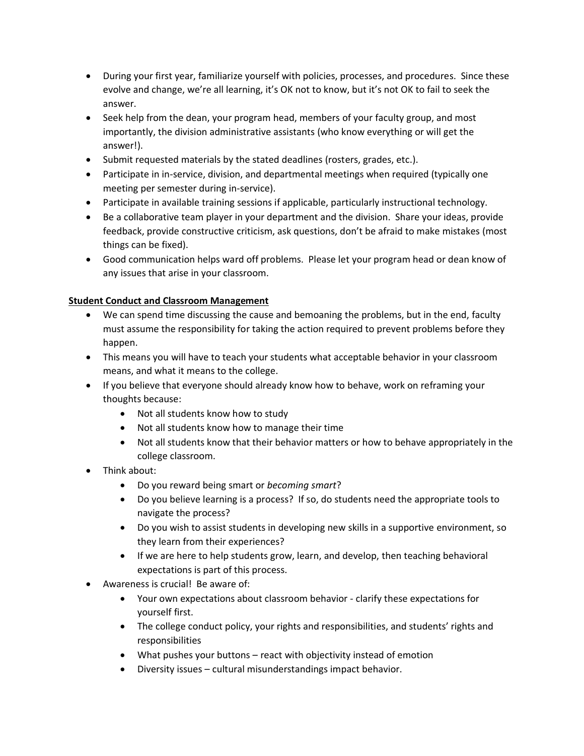- During your first year, familiarize yourself with policies, processes, and procedures. Since these evolve and change, we're all learning, it's OK not to know, but it's not OK to fail to seek the answer.
- Seek help from the dean, your program head, members of your faculty group, and most importantly, the division administrative assistants (who know everything or will get the answer!).
- Submit requested materials by the stated deadlines (rosters, grades, etc.).
- Participate in in-service, division, and departmental meetings when required (typically one meeting per semester during in-service).
- Participate in available training sessions if applicable, particularly instructional technology.
- Be a collaborative team player in your department and the division. Share your ideas, provide feedback, provide constructive criticism, ask questions, don't be afraid to make mistakes (most things can be fixed).
- Good communication helps ward off problems. Please let your program head or dean know of any issues that arise in your classroom.

# **Student Conduct and Classroom Management**

- We can spend time discussing the cause and bemoaning the problems, but in the end, faculty must assume the responsibility for taking the action required to prevent problems before they happen.
- This means you will have to teach your students what acceptable behavior in your classroom means, and what it means to the college.
- If you believe that everyone should already know how to behave, work on reframing your thoughts because:
	- Not all students know how to study
	- Not all students know how to manage their time
	- Not all students know that their behavior matters or how to behave appropriately in the college classroom.
- Think about:
	- Do you reward being smart or *becoming smart*?
	- Do you believe learning is a process? If so, do students need the appropriate tools to navigate the process?
	- Do you wish to assist students in developing new skills in a supportive environment, so they learn from their experiences?
	- If we are here to help students grow, learn, and develop, then teaching behavioral expectations is part of this process.
- Awareness is crucial! Be aware of:
	- Your own expectations about classroom behavior clarify these expectations for yourself first.
	- The college conduct policy, your rights and responsibilities, and students' rights and responsibilities
	- What pushes your buttons react with objectivity instead of emotion
	- Diversity issues cultural misunderstandings impact behavior.